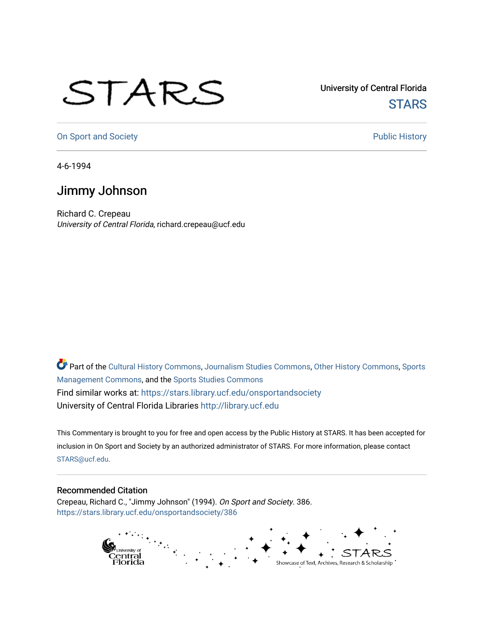## STARS

University of Central Florida **STARS** 

[On Sport and Society](https://stars.library.ucf.edu/onsportandsociety) **Public History** Public History

4-6-1994

## Jimmy Johnson

Richard C. Crepeau University of Central Florida, richard.crepeau@ucf.edu

Part of the [Cultural History Commons](http://network.bepress.com/hgg/discipline/496?utm_source=stars.library.ucf.edu%2Fonsportandsociety%2F386&utm_medium=PDF&utm_campaign=PDFCoverPages), [Journalism Studies Commons,](http://network.bepress.com/hgg/discipline/333?utm_source=stars.library.ucf.edu%2Fonsportandsociety%2F386&utm_medium=PDF&utm_campaign=PDFCoverPages) [Other History Commons,](http://network.bepress.com/hgg/discipline/508?utm_source=stars.library.ucf.edu%2Fonsportandsociety%2F386&utm_medium=PDF&utm_campaign=PDFCoverPages) [Sports](http://network.bepress.com/hgg/discipline/1193?utm_source=stars.library.ucf.edu%2Fonsportandsociety%2F386&utm_medium=PDF&utm_campaign=PDFCoverPages) [Management Commons](http://network.bepress.com/hgg/discipline/1193?utm_source=stars.library.ucf.edu%2Fonsportandsociety%2F386&utm_medium=PDF&utm_campaign=PDFCoverPages), and the [Sports Studies Commons](http://network.bepress.com/hgg/discipline/1198?utm_source=stars.library.ucf.edu%2Fonsportandsociety%2F386&utm_medium=PDF&utm_campaign=PDFCoverPages) Find similar works at: <https://stars.library.ucf.edu/onsportandsociety> University of Central Florida Libraries [http://library.ucf.edu](http://library.ucf.edu/) 

This Commentary is brought to you for free and open access by the Public History at STARS. It has been accepted for inclusion in On Sport and Society by an authorized administrator of STARS. For more information, please contact [STARS@ucf.edu](mailto:STARS@ucf.edu).

## Recommended Citation

Crepeau, Richard C., "Jimmy Johnson" (1994). On Sport and Society. 386. [https://stars.library.ucf.edu/onsportandsociety/386](https://stars.library.ucf.edu/onsportandsociety/386?utm_source=stars.library.ucf.edu%2Fonsportandsociety%2F386&utm_medium=PDF&utm_campaign=PDFCoverPages)

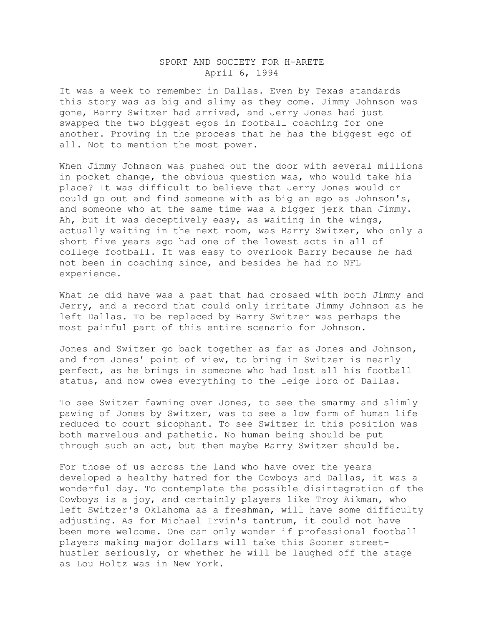## SPORT AND SOCIETY FOR H-ARETE April 6, 1994

It was a week to remember in Dallas. Even by Texas standards this story was as big and slimy as they come. Jimmy Johnson was gone, Barry Switzer had arrived, and Jerry Jones had just swapped the two biggest egos in football coaching for one another. Proving in the process that he has the biggest ego of all. Not to mention the most power.

When Jimmy Johnson was pushed out the door with several millions in pocket change, the obvious question was, who would take his place? It was difficult to believe that Jerry Jones would or could go out and find someone with as big an ego as Johnson's, and someone who at the same time was a bigger jerk than Jimmy. Ah, but it was deceptively easy, as waiting in the wings, actually waiting in the next room, was Barry Switzer, who only a short five years ago had one of the lowest acts in all of college football. It was easy to overlook Barry because he had not been in coaching since, and besides he had no NFL experience.

What he did have was a past that had crossed with both Jimmy and Jerry, and a record that could only irritate Jimmy Johnson as he left Dallas. To be replaced by Barry Switzer was perhaps the most painful part of this entire scenario for Johnson.

Jones and Switzer go back together as far as Jones and Johnson, and from Jones' point of view, to bring in Switzer is nearly perfect, as he brings in someone who had lost all his football status, and now owes everything to the leige lord of Dallas.

To see Switzer fawning over Jones, to see the smarmy and slimly pawing of Jones by Switzer, was to see a low form of human life reduced to court sicophant. To see Switzer in this position was both marvelous and pathetic. No human being should be put through such an act, but then maybe Barry Switzer should be.

For those of us across the land who have over the years developed a healthy hatred for the Cowboys and Dallas, it was a wonderful day. To contemplate the possible disintegration of the Cowboys is a joy, and certainly players like Troy Aikman, who left Switzer's Oklahoma as a freshman, will have some difficulty adjusting. As for Michael Irvin's tantrum, it could not have been more welcome. One can only wonder if professional football players making major dollars will take this Sooner streethustler seriously, or whether he will be laughed off the stage as Lou Holtz was in New York.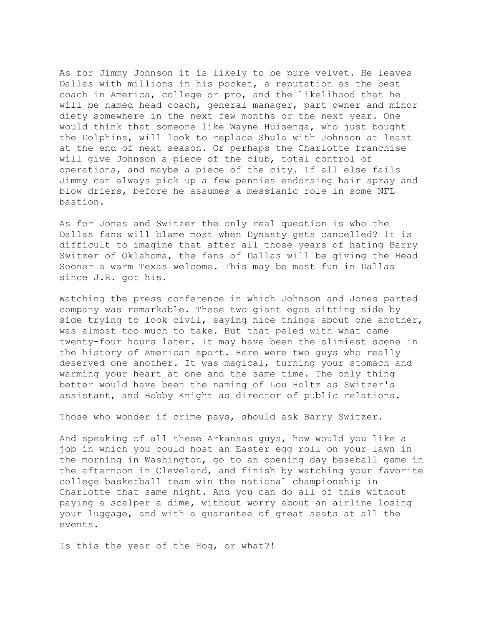As for Jimmy Johnson it is likely to be pure velvet. He leaves Dallas with millions in his pocket, a reputation as the best coach in America, college or pro, and the likelihood that he will be named head coach, general manager, part owner and minor diety somewhere in the next few months or the next year. One would think that someone like Wayne Huisenga, who just bought the Dolphins, will look to replace Shula with Johnson at least at the end of next season. Or perhaps the Charlotte franchise will give Johnson a piece of the club, total control of operations, and maybe a piece of the city. If all else fails Jimmy can always pick up a few pennies endorsing hair spray and blow driers, before he assumes a messianic role in some NFL bastion.

As for Jones and Switzer the only real question is who the Dallas fans will blame most when Dynasty gets cancelled? It is difficult to imagine that after all those years of hating Barry Switzer of Oklahoma, the fans of Dallas will be giving the Head Sooner a warm Texas welcome. This may be most fun in Dallas since J.R. got his.

Watching the press conference in which Johnson and Jones parted company was remarkable. These two giant egos sitting side by side trying to look civil, saying nice things about one another, was almost too much to take. But that paled with what came twenty-four hours later. It may have been the slimiest scene in the history of American sport. Here were two guys who really deserved one another. It was magical, turning your stomach and warming your heart at one and the same time. The only thing better would have been the naming of Lou Holtz as Switzer's assistant, and Bobby Knight as director of public relations.

Those who wonder if crime pays, should ask Barry Switzer.

And speaking of all these Arkansas guys, how would you like a job in which you could host an Easter egg roll on your lawn in the morning in Washington, go to an opening day baseball game in the afternoon in Cleveland, and finish by watching your favorite college basketball team win the national championship in Charlotte that same night. And you can do all of this without paying a scalper a dime, without worry about an airline losing your luggage, and with a guarantee of great seats at all the events.

Is this the year of the Hog, or what?!